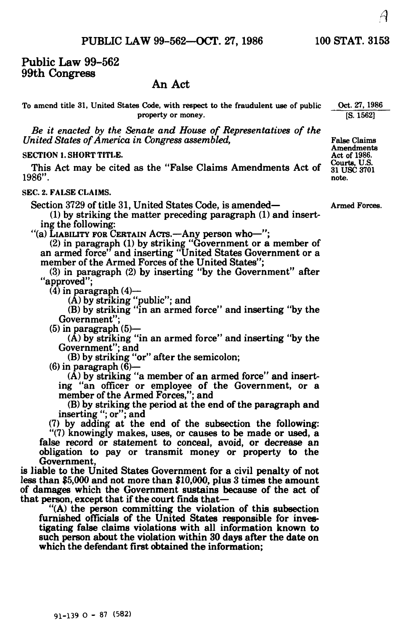91-139 0 - 87 (582)

# Public Law 99-562 99th Congress

## An Act

**To amend title 31, United States Code, with respect to the fraudulent use of public Oct. 27, 1986 property or money.** [S. 1562]

*Be it enacted by the Senate and House of Representatives of the United States of America in Congress assembled,* False Claims Amendments

**Act of 1986.**<br>**Act of 1986. Amendments Act of 1986. Amendments Act of 1986. Amendments Act of**  $\frac{\text{Courts}}{31 \text{ USC}}$ **. <b>Amendments** Act of  $\frac{\text{Courts}}{31 \text{ USC}}$ . **Amendments** This Act may be cited as the "False Claims Amendments Act of 31USC3701 1986". https://www.facebook.com/windows/windows/windows/windows/windows/windows/windows/windows/windows/window<br>1986. https://windows/windows/windows/windows/windows/windows/windows/windows/windows/windows/windows/windows/

### **SEC. 2. FALSE CLAIMS.**

Section 3729 of title 31, United States Code, is amended— Armed Forces.<br>(1) by striking the matter preceding paragraph (1) and insert-<br>ing the following:

"(a) LIABILITY FOR CERTAIN ACTS.—Any person who—";

(2) in paragraph (1) by striking "Government or a member of an armed force" and inserting "United States Government or a member of the Armed Forces of the United States";

(3) in paragraph (2) by inserting "by the Government" after "approved";<br>(4) in paragraph (4)-

(4) in paragraph  $(4)$ —<br>(A) by striking "public"; and

(B) by striking "in an armed force" and inserting "by the Government";<br>(5) in paragraph  $(5)$ -

 $(\hat{A})$  by striking "in an armed force" and inserting "by the Government"; and

(B) by striking "or" after the semicolon;<br>(6) in paragraph  $(6)$ —

 $(A)$  by striking "a member of an armed force" and inserting "an officer or employee of the Government, or a member of the Armed Forces,"; and

(B) by striking the period at the end of the paragraph and inserting "; or"; and

(7) by adding at the end of the subsection the following: "(7) knowingly makes, uses, or causes to be made or used, a false record or statement to conceal, avoid, or decrease an

obligation to pay or transmit money or property to the Government.

is liable to the United States Government for a civil penalty of not less than \$5,000 and not more than \$10,000, plus 3 times the amount of damages which the Government sustains because of the act of that person, except that if the court finds that that person, except that if the court finds that— "(A) the person committing the violation of this subsection

furnished officials of the United States responsible for inves-<br>tigating false claims violations with all information known to such person about the violation within 30 days after the date on which the defendant first obtained the information;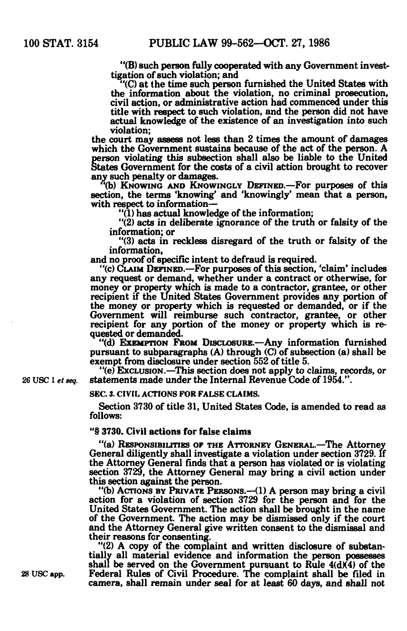**"(B) such person fully cooperated with any Government inves tigation of such violation; and** 

**"(C) at the time such person furnished the United States with the information about the violation, no criminal prosecution, civil action, or administrative action had commenced under this title with respect to such violation, and the person did not have actual knowledge of the existence of an investigation into such violation;** 

**the court may assess not less than 2 times the amount of damages which the Government sustains because of the act of the person. A person violating this subsection shall also be liable to the United States Government for the costs of a civil action brought to recover** 

any such penalty or damages.<br>
"(b) KNOWING AND KNOWINGLY DEFINED.—For purposes of this section, the terms 'knowing' and 'knowingly' mean that a person, with respect to information—<br>"(1) has actual knowledge of the information;<br>"(2) acts in deliberate ignorance of the truth or falsity of the

**information; or** 

**"(3) acts in reckless disregard of the truth or falsity of the** 

**information, and no proof of specific intent to defraud is required. "(c) CLAIM DEFINED.—For purposes of this section, 'claim' includes any request or demand, whether under a contract or otherwise, for money or property which is made to a contractor, grantee, or other recipient if the United States Government provides any portion of the money or property which is requested or demanded, or if the Government will reimburse such contractor, grantee, or other recipient for any portion of the money or property which is re- quested or demanded. "(d) EXEMPTION FROM DISCLOSURE.—Any information furnished** 

**pursuant to subparagraphs (A) through (C) of subsection (a) shall be** 

"(e) Exclusion.—This section does not apply to claims, records, or **26 USC l** *et seq.* **statements made under the Internal Revenue Code of 1954.".** 

**SEC. 3.CIVIL ACTIONS FOR FALSE CLAIMS.** 

**Section 3730 of title 31, United States Code, is amended to read as follows:** 

#### **"§ 3730. Civil actions for false claims**

**"(a) RESPONSIBILITIES OF THE ATTORNEY GENERAL.—The Attorney General diligently shall investigate a violation under section 3729. If**  section 3729, the Attorney General may bring a civil action under this section against the person.

"(b) ACTIONS BY PRIVATE PERSONS.—(1) A person may bring a civil **action for a violation of section 3729 for the person and for the United States Government. The action shall be brought in the name of the Government. The action may be dismissed only if the court and the Attorney General give written consent to the dismissal and** 

**their reasons for consenting. "(2) A copy of the complaint and written disclosure of substan tially all material evidence and information the person possesses**  shall be served on the Government pursuant to Rule  $4(d)$  of the **28 USCapp. Federal Rules of Civil Procedure. The complaint shall be filed in camera, shall remain under seal for at least 60 days, and shall not**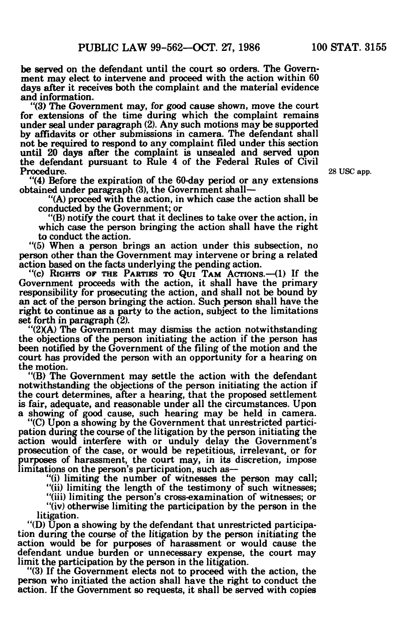be served on the defendant until the court so orders. The Government may elect to intervene and proceed with the action within 60 days after it receives both the complaint and the material evidence and information.

 $(3)$  The Government may, for good cause shown, move the court for extensions of the time during which the complaint remains under seal under paragraph (2). Any such motions may be supported by affidavits or other submissions in camera. The defendant shall not be required to respond to any complaint filed under this section until 20 days after the complaint is unsealed and served upon the defendant pursuant to Rule 4 of the Federal Rules of Civil

Procedure. 28USCapp. "(4) Before the expiration of the 60-day period or any extensions obtained under paragraph (3), the Government shall— "(A) proceed with the action, in which case the action shall be

conducted by the Government; or

"(B) notify the court that it declines to take over the action, in which case the person bringing the action shall have the right to conduct the action.

 $(5)$  When a person brings an action under this subsection, no person other than the Government may intervene or bring a related

CO RIGHTS OF THE PARTIES TO QUI TAM ACTIONS.—(1) If the Government proceeds with the action, it shall have the primary responsibility for prosecuting the action, and shall not be bound by an act of the person bringing the action. Such person shall have the right to continue as a party to the action, subject to the limitations

" $(2)(A)$  The Government may dismiss the action notwithstanding the objections of the person initiating the action if the person has been notified by the Government of the filing of the motion and the court has provided the person with an opportunity for a hearing on the motion. "(B) The Government may settle the action with the defendant

notwithstanding the objections of the person initiating the action if the court determines, after a hearing, that the proposed settlement is fair, adequate, and reasonable under all the circumstances. Upon

a showing of good cause, such hearing may be held in camera. "(C) Upon a showing by the Government that unrestricted partici pation during the course of the litigation by the person initiating the action would interfere with or unduly delay the Government's prosecution of the case, or would be repetitious, irrelevant, or for purposes of harassment, the court may, in its discretion, impose limitations on the person's participation, such as—

"(i) limiting the number of witnesses the person may call; "(ii) limiting the length of the testimony of such witnesses;

"(iii) limiting the person's cross-examination of witnesses; or

"(iv) otherwise limiting the participation by the person in the

litigation.<br>"(D) Upon a showing by the defendant that unrestricted participation during the course of the litigation by the person initiating the action would be for purposes of harassment or would cause the defendant undue burden or unnecessary expense, the court may limit the participation by the person in the litigation. "(3) If the Government elects not to proceed with the action, the

person who initiated the action shall have the right to conduct the action. If the Government so requests, it shall be served with copies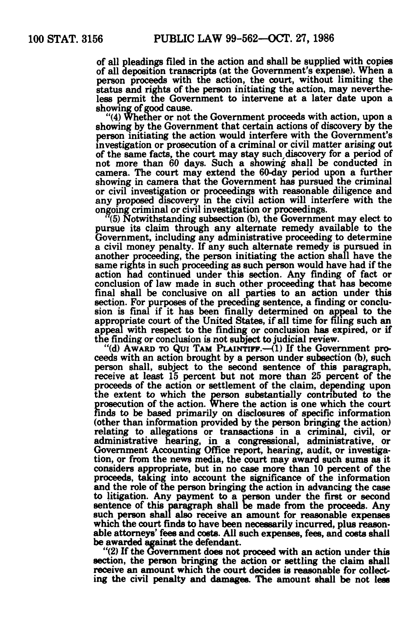**of all pleadings filed in the action and shall be supplied with copies of all deposition transcripts (at the Government's expense). When a person proceeds with the action, the court, without limiting the status and rights of the person initiating the action, may neverthe less permit the Government to intervene at a later date upon a** 

**showing of good cause. "(4) Whether or not the Government proceeds with action, upon a showing by the Government that certain actions of discovery by the person initiating the action would interfere with the Government's investigation or prosecution of a criminal or civil matter arising out of the same facts, the court may stay such,discovery for a period of**  not more than 60 days. Such a showing shall be conducted in **camera. The court may extend the 60-day period upon a further showing in camera that the Government has pursued the criminal or civil investigation or proceedings with reasonable diligence and any proposed discovery in the civil action will interfere with the** 

**ongoing criminal or civil investigation or proceedings. (5) Notwithstanding subsection (b), the Government may elect to pursue its claim through any alternate remedy available to the Government, including any administrative proceeding to determine a civil money penalty. If any such alternate remedy is pursued in another proceeding, the person initiating the action shall have the same rights in such proceeding as such person would have had if the action had continued under this section. Any finding of fact or conclusion of law made in such other proceeding that has become final shall be conclusive on all parties to an action under this section. For purposes of the preceding sentence, a finding or conclu sion is final if it has been finally determined on appeal to the appropriate court of the United States, if all time for filing such an appeal with respect to the finding or conclusion has expired, or if the finding or conclusion is not subject to judicial review.** 

**"(d) AWARD TO QUI TAM PLAINTIFF.—(1) If the Government pro ceeds with an action brought by a person under subsection (b), such person shall, subject to the second sentence of this paragraph, receive at least 15 percent but not more than 25 percent of the proceeds of the action or settlement of the claim, depending upon the extent to which the person substantially contributed to the prosecution of the action. Where the action is one which the court finds to be based primarily on disclosures of specific information (other than information provided by the person bringing the action) relating to allegations or transactions in a criminal, civil, or administrative hearing, in a congressional, administrative, or Government Accounting Office report, hearing, audit, or investiga tion, or from the news media, the court may award such sums as it considers appropriate, but in no case more than 10 percent of the proceeds, taking into account the significance of the information and the role of the person bringing the action in advancing the case to litigation. Any payment to a person under the first or second sentence of this paragraph shall be made from the proceeds. Any such person shall also receive an amount for reasonable expenses which the court finds to have been necessarily incurred, plus reason- able attorneys' fees and costs. All such expenses, fees, and costs shall be awarded against the defendant.** 

**"(2) If the Government does not proceed with an action under this section, the person bringing the action or settling the claim shall receive an amount which the court decides is reasonable for collect ing the civil penalty and damages. The amount shall be not less**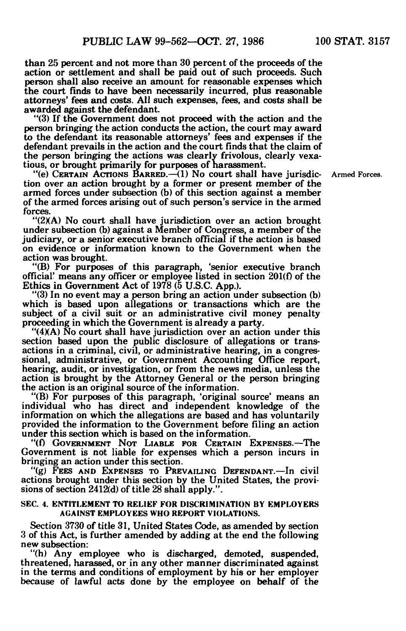than 25 percent and not more than 30 percent of the proceeds of the action or settlement and shall be paid out of such proceeds. Such person shall also receive an amount for reasonable expenses which the court finds to have been necessarily incurred, plus reasonable attorneys' fees and costs. All such expenses, fees, and costs shall be

 $(3)$  If the Government does not proceed with the action and the person bringing the action conducts the action, the court may award to the defendant its reasonable attorneys' fees and expenses if the defendant prevails in the action and the court finds that the claim of the person bringing the actions was clearly frivolous, clearly vexatious, or brought primarily for purposes of harassment.<br>
"(e) CERTAIN ACTIONS BARRED.—(1) No court shall have jurisdic- Armed Forces.<br>
tion over an action

armed forces under subsection (b) of this section against a member of the armed forces arising out of such person's service in the armed<br>forces

 $f(2)$ (A) No court shall have jurisdiction over an action brought under subsection (b) against a Member of Congress, a member of the judiciary, or a senior executive branch official if the action is based on evidence or information known to the Government when the action was brought.

 $\hat{B}$ ) For purposes of this paragraph, 'senior executive branch official' means any officer or employee listed in section 201(f) of the<br>Ethics in Government Act of 1978 (5 U.S.C. App.).

"(3) In no event may a person bring an action under subsection  $(b)$ which is based upon allegations or transactions which are the subject of a civil suit or an administrative civil money penalty

proceeding in which the Government is already a party.<br>" $(4)(A)$  No court shall have jurisdiction over an action under this section based upon the public disclosure of allegations or trans-<br>actions in a criminal, civil, or administrative hearing, in a congres-<br>sional, administrative, or Government Accounting Office report,<br>hearing, audit, or in action is brought by the Attorney General or the person bringing<br>the action is an original source of the information.<br>"(B) For purposes of this paragraph, 'original source' means an

individual who has direct and independent knowledge of the provided the information to the Government before filing an action<br>under this section which is based on the information.

"(f) GOVERNMENT NOT LIABLE FOR CERTAIN EXPENSES.—The Government is not liable for expenses which a person incurs in bringing an action under this section.

 $b(s)$  Fees and Expenses to Prevailing Defendant. "In civil actions brought under this section by the United States, the provisions of section 2412(d) of title 28 shall apply.".

#### **SEC. 4. ENTITLEMENT TO RELIEF FOR DISCRIMINATION BY EMPLOYERS AGAINST EMPLOYEES WHO REPORT VIOLATIONS.**

Section 3730 of title 31, United States Code, as amended by section 3 of this Act, is further amended by adding at the end the following new subsection:<br>"(h) Any employee who is discharged, demoted, suspended,

threatened, harassed, or in any other manner discriminated against in the terms and conditions of employment by his or her employer because of lawful acts done by the employee on behalf of the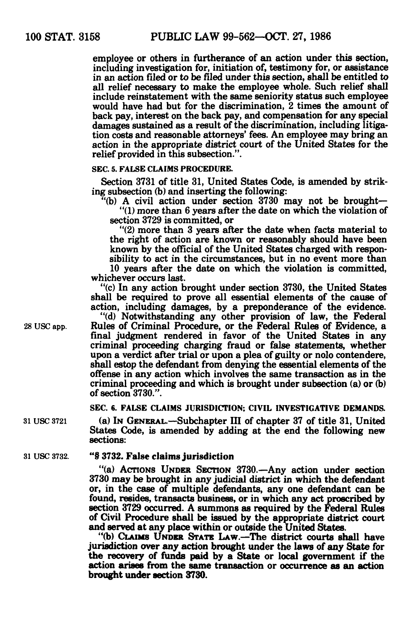**employee or others in furtherance of an action under this section, including investigation for, initiation of, testimony for, or assistance in an action filed or to be filed under this section, shall be entitled to all relief necessary to make the employee whole. Such relief shall include reinstatement with the same seniority status such employee would have had but for the discrimination, 2 times the amount of back pay, interest on the back pay, and compensation for any special**  tion costs and reasonable attorneys' fees. An employee may bring an **action in the appropriate district court of the United States for the relief provided in this subsection.".** 

#### **SEC. 5. FALSE CLAIMS PROCEDURE.**

Section 3731 of title 31, United States Code, is amended by striking subsection (b) and inserting the following: <br>
"(b) A civil action under section 3730 may not be brought—

"(1) more than 6 years after the date on which the violation of **section 3729 is committed, or** 

**"(2) more than 3 years after the date when facts material to the right of action are known or reasonably should have been**  sibility to act in the circumstances, but in no event more than 10 years after the date on which the violation is committed.

which ever occurs last.<br>"(c) In any action brought under section 3730, the United States

**shall be required to prove all essential elements of the cause of action, including damages, by a preponderance of the evidence. "(d) Notwithstanding any other provision of law, the Federal** 

**28USCapp. Rules of Criminal Procedure, or the Federal Rules of Evidence, a final judgment rendered in favor of the United States in any criminal proceeding charging fraud or false statements, whether upon a verdict after trial or upon a plea of guilty or nolo contendere, shall estop the defendant from denying the essential elements of the offense in any action which involves the same transaction as in the criminal proceeding and which is brought under subsection (a) or (b) of section 3730.".** 

**SEC. 6. FALSE CLAIMS JURISDICTION; CIVIL INVESTIGATIVE DEMANDS.** 

**31USC3721 (a) IN GENERAL.—Subchapter III of chapter 37 of title 31, United States Code, is amended by adding at the end the following new sections:** 

### **31USC3732. "§ 3732. False claims jurisdiction**

**"(a) ACTIONS UNDER SECTION 3730.—Any action under section 3730 may be brought in any judicial district in which the defendant or, in the case of multiple defendants, any one defendant can be found, resides, transacts business, or in which any act proscribed by section 3729 occurred. A summons as required by the Federal Rules of Civil Procedure shall be issued by the appropriate district court** 

"(b) CLAIMS UNDER STATE LAW.—The district courts shall have **jurisdiction over any action brought under the laws of any State for the recovery of funds paid by a State or local government if the action arises from the same transaction or occurrence as an action brought under section 3730.**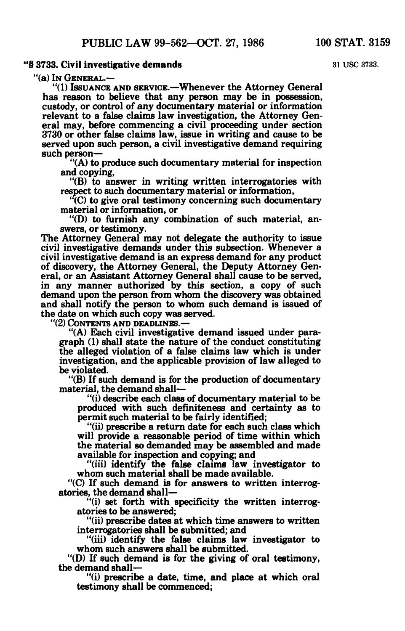### **''S** 3733. Civil investigative demands 31 USC 3733.

**"(a) IN GENERAL.—** 

**"(1) ISSUANCE AND SERVICE.—Whenever the Attorney General has reason to believe that any person may be in possession, custody, or control of any documentary material or information**  relevant to a false claims law investigation, the Attorney General may, before commencing a civil proceeding under section **3730 or other false claims law, issue in writing and cause tobe served upon such person, a civil investigative demand requiring** 

**such person— "(A) to produce such documentary material for inspection** 

"(B) to answer in writing written interrogatories with respect to such documentary material or information.

**rightly** to give oral testimony concerning such documentary material or information, or <br> **respectively** to furnish any combination of such material, an-

for the authority of testimony.<br>The Attorney General may not delegate the authority to issue

**civil investigative demands under this subsection. Whenever a civil investigative demand is an express demand for anyproduct**  of discovery, the Attorney General, the Deputy Attorney General, or an Assistant Attorney General shall cause to be served, in any manner authorized by this section, a copy of such demand upon the person from whom the discovery was obtained **and shall notify the person to whom such demand is issued of the date on which such copy was served.**<br>
"(2) CONTENTS AND DEADLINES.—<br>
"(A) Each civil investigative demand issued under para-

**"(A) Each civil investigative demand issued under para- graph (1) shall state the nature of the conduct constituting the alleged violation of a false claims law which is under investigation, and the applicable provision of law alleged to** 

**be violated. "(B) If such demand is for the production of documentary material, thedemand shall— "(i) describe each class of documentary material to be** 

**produced with such definiteness and certainty as to**  permit such material to be fairly identified;

**"(ii) prescribe a return date for each such class which will provide a reasonable period of time within which the material so demanded may be assembled and made**  available for inspection and copying; and

**"(iii) identify the false claims law investigator to** 

**whom such material shall be made available. "(C) If such demand is for answers to written interrog atories, thedemand shall— "(i) set forth with specificity the written interrog atories to be answered;** 

**"(ii) prescribe dates at which time answers to written interrogatories shall besubmitted; and** 

**"(iii) identify the false claims law investigator to** 

**whom such answers shall be submitted. "(D) If such demand is for the giving of oral testimony, the demand shall— "(i) prescribe a date, time, and place at which oral** 

**testimony shall becommenced;**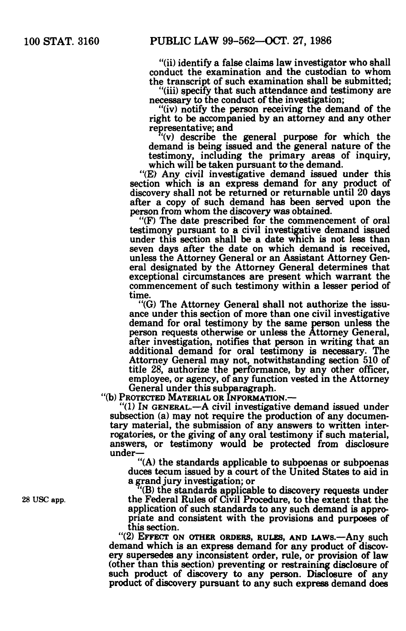"(ii) identify a false claims law investigator who shall conduct the examination and the custodian to whom the transcript of such examination shall be submitted;

"(iii) specify that such attendance and testimony are necessary to the conduct of the investigation;

"(iv) notify the person receiving the demand of the right to be accompanied by an attorney and any other representative; and

(v) describe the general purpose for which the demand is being issued and the general nature of the testimony, including the primary areas of inquiry, which will be taken pursuant to the demand. "(E) Any civil investigative demand issued under this

section which is an express demand for any product of discovery shall not be returned or returnable until 20 days after a copy of such demand has been served upon the person from whom the discovery was obtained.

"(F) The date prescribed for the commencement of oral testimony pursuant to a civil investigative demand issued under this section shall be a date which is not less than seven days after the date on which demand is received, unless the Attorney General or an Assistant Attorney General designated by the Attorney General determines that exceptional circumstances are present which warrant the commencement of such testimony within a lesser period of time.

 $"$ (G) The Attorney General shall not authorize the issuance under this section of more than one civil investigative demand for oral testimony by the same person unless the person requests otherwise or unless the Attorney General, after investigation, notifies that person in writing that an additional demand for oral testimony is necessary. The Attorney General may not, notwithstanding section 510 of title 28, authorize the performance, by any other officer,<br>employee, or agency, of any function vested in the Attorney<br>General under this subparagraph.<br>"(b) PROTECTED MATERIAL OR INFORMATION.—

"(1) IN GENERAL.—A civil investigative demand issued under subsection (a) may not require the production of any documentary material, the submission of any answers to written inter-<br>rogatories, or the giving of any oral testimony if such material,<br>answers, or testimony would be protected from disclosure under-

"(A) the standards applicable to subpoenas or subpoenas duces tecum issued by a court of the United States to aid in a grand jury investigation; or

"(B) the standards applicable to discovery requests under 28USCapp. the Federal Rules of Civil Procedure, to the extent that the application of such standards to any such demand is appropriate and consistent with the provisions and purposes of this section.

 $t(2)$  EFFECT ON OTHER ORDERS, RULES, AND LAWS.—Any such demand which is an express demand for any product of discovery supersedes any inconsistent order, rule, or provision of law (other than this section) preventing or restraining disclosure of such product of discovery to any person. Disclosure of any product of discovery pursuant to any such express demand does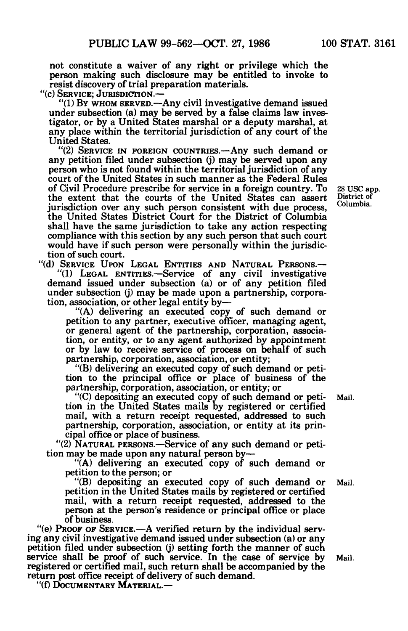not constitute a waiver of any right or privilege which the person making such disclosure may be entitled to invoke to resist discovery of trial preparation materials.<br>"(c) SERVICE: JURISDICTION.—

"(1) By WHOM SERVED.—Any civil investigative demand issued under subsection (a) may be served by a false claims law investigator, or by a United States marshal or a deputy marshal, at any place within the territorial jurisdiction of any court of the<br>United States.

 $(2)$  SERVICE IN FOREIGN COUNTRIES.—Any such demand or any petition filed under subsection (j) may be served upon any person who is not found within the territorial jurisdiction of any court of the United States in such manner as the Federal Rules<br>of Civil Procedure prescribe for service in a foreign country. To of Civil Procedure prescribe for service in a foreign country. To 28 USC app.<br>the extent that the courts of the United States can assert District of<br>jurisdiction over any such person consistent with due process, Columbia.<br> shall have the same jurisdiction to take any action respecting compliance with this section by any such person that such court would have if such person were personally within the jurisdiction of such court.

"(d) SERVICE UPON LEGAL ENTITIES AND NATURAL PERSONS.— "(1) LEGAL ENTITIES.—Service of any civil investigative demand issued under subsection (a) or of any petition filed under subsection (j) may be made upon a partnership, corporation, association, or other legal entity by—<br>
"(A) delivering an executed copy of such demand or petition to any partner, executive officer, managing agent,

or general agent of the partnership, corporation, association, or entity, or to any agent authorized by appointment or by law to receive service of process on behalf of such partnership, corporation, association, or entity;<br>"(B) delivering an executed copy of such demand or peti-

tion to the principal office or place of business of the partnership, corporation, association, or entity; or<br>"(C) depositing an executed copy of such demand or peti-

"(C) depositing an executed copy of such demand or peti- Mail. tion in the United States mails by registered or certified mail, with a return receipt requested, addressed to such partnership, corporation, association, or entity at its prin-

cipal office or place of business.<br>
"(2) NATURAL PERSONS.—Service of any such demand or petition may be made upon any natural person by—<br>
"(A) delivering an executed copy of such demand or

petition to the person; or

"(B) depositing an executed copy of such demand or Mail. petition in the United States mails by registered or certified mail, with a return receipt requested, addressed to the person at the person's residence or principal office or place

"(e) PROOF OF SERVICE.—A verified return by the individual serving any civil investigative demand issued under subsection (a) or any petition filed under subsection (j) setting forth the manner of such service shall be proof of such service. In the case of service by Mail. registered or certified mail, such return shall be accompanied by the return post office receipt of delivery of such demand.<br>"(f) DOCUMENTARY MATERIAL.—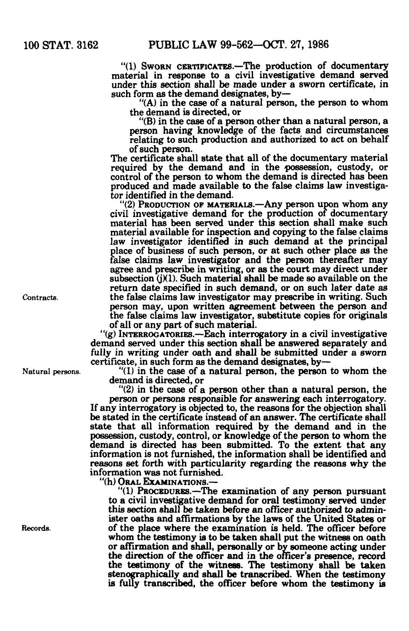**"(1) SWORN CERTIFICATES.—The production of documentary material in response to a civil investigative demand served under this section shall be made under a sworn certificate, in** 

 $\mathcal{L}(A)$  in the case of a natural person, the person to whom **the demand is directed, or** 

**"(B) in the case of a person other than a natural person, a person having knowledge of the facts and circumstances relating to such production and authorized to act on behalf** 

**of such person. The certificate shall state that all of the documentary material required by the demand and in the possession, custody, or control of the person to whom the demand is directed has been** 

for identified in the demand.<br>
"(2) PRODUCTION OF MATERIALS.—Any person upon whom any<br>
civil investigative demand for the production of documentary<br>
material has been served under this section shall make such **material available for inspection and copying to the false claims law investigator identified in such demand at the principal place of business of such person, or at such other place as the false claims law investigator and the person thereafter may**  agree and prescribe in writing, or as the court may direct under **subsection (j)(l). Such material shall be made so available onthe return date specified in such demand, or on such later date as Contracts. the false claims law investigator may prescribe in writing. Such person may, upon written agreement between the person and the false claims law investigator, substitute copies for originals** 

**of all or any part of such material. "(g) INTERROGATORIES.—Each interrogatory in a civil investigative demand served under this section shall be answered separately and**  fully in writing under oath and shall be submitted under a sworn certificate, in such form as the demand designates, by-

Natural persons. "(1) in the case of a natural person, the person to whom the **demand is directed, or** 

> **"(2) in the case of a person other than a natural person, the**  If any interrogatory is objected to, the reasons for the objection shall **be stated in the certificate instead of an answer. Thecertificate shall state that all information required by the demand and in the possession, custody, control, or knowledge of the person to whom the**  information is not furnished, the information shall be identified and **reasons set forth with particularity regarding the reasons why the information was not furnished. "(h) ORAL EXAMINATIONS.—**

**"(1) PROCEDURES.—The examination of any person pursuant to a civil investigative demand for oral testimony served under**  this section shall be taken before an officer authorized to administer oaths and affirmations by the laws of the United States or **Records. of the place where the examination is held. The officer before whom the testimony is to be taken shall put the witness on oath or affirmation and shall, personally or by someone acting under the direction of the officer and in the officer's presence, record the testimony of the witness. The testimony shall be taken stenographically and shall be transcribed. When the testimony is fully transcribed, the officer before whom the testimony is**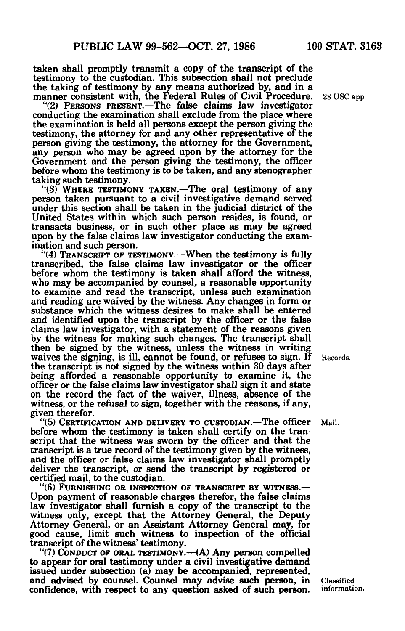taken shall promptly transmit a copy of the transcript of the testimony to the custodian. This subsection shall not preclude the taking of testimony by any means authorized by, and in a manner consistent with, the Federal Rules of Civil Procedure. anner consistent with, the Federal Rules of Civil Procedure. 28 USC app. "<br>"(2) PERSONS PRESENT.—The false claims law investigator

conducting the examination shall exclude from the place where the examination is held all persons except the person giving the testimony, the attorney for and any other representative of the person giving the testimony, the attorney for the Government. any person who may be agreed upon by the attorney for the Government and the person giving the testimony, the officer before whom the testimony is to be taken, and any stenographer taking such testimony. "(3) WHERE TESTIMONY TAKEN.—The oral testimony of any

person taken pursuant to a civil investigative demand served under this section shall be taken in the judicial district of the United States within which such person resides, is found, or transacts business, or in such other place as may be agreed

ination and such person.<br>"(4) TRANSCRIPT OF TESTIMONY.—When the testimony is fully transcribed, the false claims law investigator or the officer before whom the testimony is taken shall afford the witness, who may be accompanied by counsel, a reasonable opportunity to examine and read the transcript, unless such examination and reading are waived by the witness. Any changes in form or substance which the witness desires to make shall be entered and identified upon the transcript by the officer or the false claims law investigator, with a statement of the reasons given by the witness for making such changes. The transcript shall then be signed by the witness, unless the witness in writing waives the signing, is ill, cannot be found, or refuses to sign. If Records. the transcript is not signed by the witness within 30 days after being afforded a reasonable opportunity to examine it, the officer or the false claims law investigator shall sign it and state on the record the fact of the waiver, illness, absence of the witness, or the refusal to sign, together with the reasons, if any, given therefor.

"(5) CERTIFICATION AND DELIVERY TO CUSTODIAN.—The officer Mail. before whom the testimony is taken shall certify on the transcript that the witness was sworn by the officer and that the transcript is a true record of the testimony given by the witness, and the officer or false claims law investigator shall promptly deliver the transcript, or send the transcript by registered or certified mail, to the custodian.<br>"(6) FURNISHING OR INSPECTION OF TRANSCRIPT BY WITNESS.—

Upon payment of reasonable charges therefor, the false claims law investigator shall furnish a copy of the transcript to the witness only, except that the Attorney General, the Deputy Attorney General, or an Assistant Attorney General may, for good cause, limit such witness to inspection of the official transcript of the witness' testimony.<br>"(7) CONDUCT OF ORAL TESTIMONY.—(A) Any person compelled

to appear for oral testimony under a civil investigative demand<br>issued under subsection (a) may be accompanied, represented, and advised by counsel. Counsel may advise such person, in Classified<br>confidence with respect to any question asked of such person, information. confidence, with respect to any question asked of such person.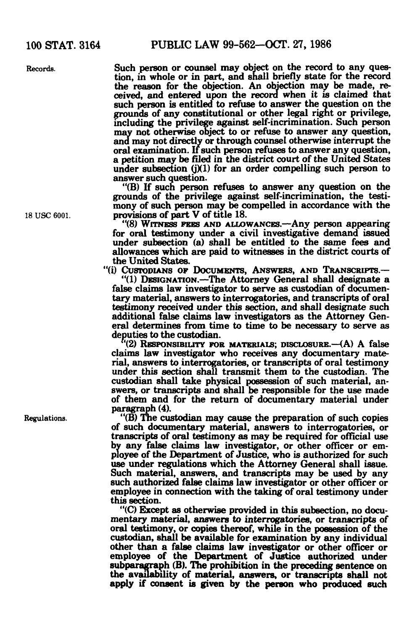**Records. Such person or counsel may object on the record to any ques tion, in whole or in part, and shall briefly state for the record the reason for the objection. An objection may be made, re ceived, and entered upon the record when it is claimed that such person is entitled to refuse to answer the question on the**  including the privilege against self-incrimination. Such person **may not otherwise object to or refuse to answer any question, and may not directly or through counsel otherwise interrupt the**  a petition may be filed in the district court of the United States under subsection (j)(1) for an order compelling such person to answer such question.

<sup>"</sup>(B) If such person refuses to answer any question on the grounds of the privilege against self-incrimination, the testimony of such person may be compelled in accordance with the provisions of part V of title 18.

**18USC6001. provisions of part V of title 18. "(8) WITNESS PEES AND ALLOWANCES.—Any person appearing for oral testimony under a civil investigative demand issued under subsection (a) shall be entitled to the same fees and allowances which are paid to witnesses in the district courts of** 

"(i) Custodians of Documents, Answers, and Transcripts.-

**"(1) DESIGNATION.—The Attorney General shall designate a false claims law investigator to serve as custodian of documen tary material, answers to interrogatories, and transcripts of oral testimony received under this section, and shall designate such additional false claims law investigators as the Attorney Gen eral determines from time to time to be necessary to serve as** 

deputies to the custodian.<br>
"(2) RESPONSIBILITY FOR MATERIALS; DISCLOSURE.—(A) A false claims law investigator who receives any documentary mate**claims law investigator who receives any documentary mate- rial, answers to interrogatories, or transcripts of oral testimony under this section shall transmit them to the custodian. The custodian shall take physical possession of such material, an swers, or transcripts and shall be responsible for the use made of them and for the return of documentary material under** 

**paragraph (4).**<br>Regulations. "(B) The custodian may cause the preparation of such copies **of such documentary material, answers to interrogatories, or transcripts of oral testimony as may be required for official use by any false claims law investigator, or other officer or em ployee of the Department of Justice, who is authorized for such**  Such material, answers, and transcripts may be used by any **such authorized false claims law investigator or other officer or employee in connection with the taking of oral testimony under** 

**this section. "(C) Except as otherwise provided in this subsection, no docu mentary material, answers to interrogatories, or transcripts of oral testimony, or copies thereof, while in the possession of the custodian, shall be available for examination by any individual other than a false claims law investigator or other officer or employee of the Department of Justice authorized under subparagraph (B). The prohibition in the preceding sentence on the availability of material, answers, or transcripts shall not apply if consent is given by the person who produced such**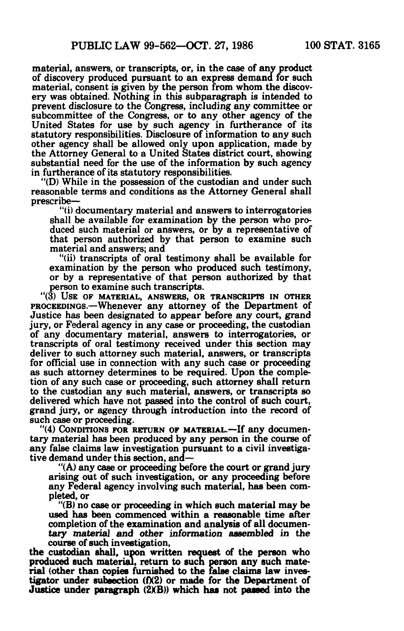**material, answers, or transcripts, or, in the case of any product of discovery produced pursuant to an express demand for such material, consent is given by the person from whom the discov ery was obtained. Nothing in this subparagraph is intended to prevent disclosure to the Congress, including any committee or subcommittee of the Congress, or to any other agency of the United States for use by such agency in furtherance of its statutory responsibilities. Disclosure of information to any such other agency shall be allowed only upon application, made by** the Attorney General to a United States district court, showing<br>substantial need for the use of the information by such agency<br>in furtherance of its statutory responsibilities.<br>"(D) While in the possession of the custodian

**reasonable terms and conditions as the Attorney General shall prescribe—** 

**"(i) documentary material and answers to interrogatories**  duced such material or answers, or by a representative of **that person authorized by that person to examine such material and answers; and** 

**"(ii) transcripts of oral testimony shall be available for**  or by a representative of that person authorized by that person to examine such transcripts.

"(3) USE OF MATERIAL, ANSWERS, OR TRANSCRIPTS IN OTHER **PROCEEDINGS.—Whenever any attorney of the Department of Justice has been designated to appear before any court, grand jury, or Federal agency in any case or proceeding, the custodian of any documentary material, answers to interrogatories, or**  deliver to such attorney such material, answers, or transcripts **for official use in connection with any such case or proceeding**  tion of any such case or proceeding, such attorney shall return **to the custodian any such material, answers, or transcripts so delivered which have not passed into the control of such court, grand jury, or agency through introduction into the record of such case or proceeding.** 

**"(4) CONDITIONS FOR RETURN OF MATERIAL.—If any documen tary material has been produced by any person in the course of** 

tive demand under this section, and—<br>"(A) any case or proceeding before the court or grand jury<br>arising out of such investigation, or any proceeding before **any Federal agency involving such material, has been com pleted, or** 

**"(B) no case or proceeding in which such material may be used has been commenced within a reasonable time after completive tary material and other information assembled in the course of such investigation.** 

the custodian shall, upon written request of the person who produced such material, return to such person any such material (other than copies furnished to the false claims law investigator under subsection (f)(2) or made for the Department of **Justice under paragraph** (2)(B)) which has not passed into the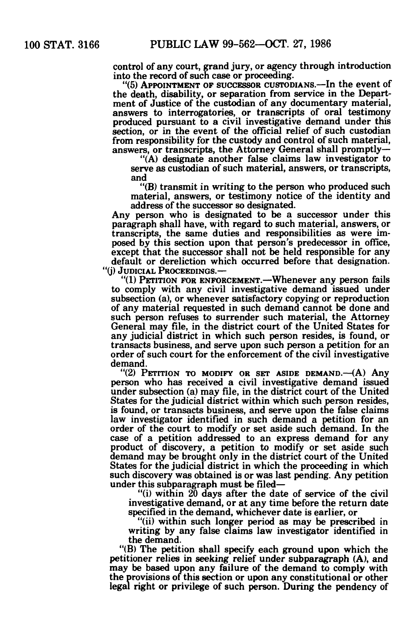control of any court, grand jury, or agency through introduction<br>into the record of such case or proceeding.

 $i$ <sup>4</sup>(5) APPOINTMENT OF SUCCESSOR CUSTODIANS.—In the event of the death, disability, or separation from service in the Department of Justice of the custodian of any documentary material, answers to interrogatories, or transcripts of oral testimony produced pursuant to a civil investigative demand under this section, or in the event of the official relief of such custodian from responsibility for the custody and control of such material, answers, or transcripts, the Attorney General shall promptly—<br>"(A) designate another false claims law investigator to

serve as custodian of such material, answers, or transcripts, and

"(B) transmit in writing to the person who produced such material, answers, or testimony notice of the identity and

Any person who is designated to be a successor under this paragraph shall have, with regard to such material, answers, or posed by this section upon that person's predecessor in office,<br>except that the successor shall not be held responsible for any<br>default or dereliction which occurred before that designation.<br>"(i) JUDICIAL PROCEEDINGS.—

"(1) PETITION FOR ENFORCEMENT.—Whenever any person fails to comply with any civil investigative demand issued under subsection (a), or whenever satisfactory copying or reproduction of any material requested in such demand cannot be done and such person refuses to surrender such material, the Attorney General may file, in the district court of the United States for any judicial district in which such person resides, is found, or transacts business, and serve upon such person a petition for an order of such court for the enforcement of the civil investigative demand.<br>"(2) Petition to modify or set aside demand.—(A) Any

person who has received a civil investigative demand issued under subsection (a) may file, in the district court of the United is found, or transacts business, and serve upon the false claims law investigator identified in such demand a petition for an order of the court to modify or set aside such demand. In the case of a petition addressed to an express demand for any product of discovery, a petition to modify or set aside such demand may be brought only in the district court of the United States for the judicial district in which the proceeding in which such discovery was obtained is or was last pending. Any petition under this subparagraph must be filed—

"(i) within 20 days after the date of service of the civil investigative demand, or at any time before the return date specified in the demand, whichever date is earlier, or

"(ii) within such longer period as may be prescribed in writing by any false claims law investigator identified in

" $(B)$  The petition shall specify each ground upon which the petitioner relies in seeking relief under subparagraph (A), and may be based upon any failure of the demand to comply with the provisions of this section or upon any constitutional or other legal right or privilege of such person. During the pendency of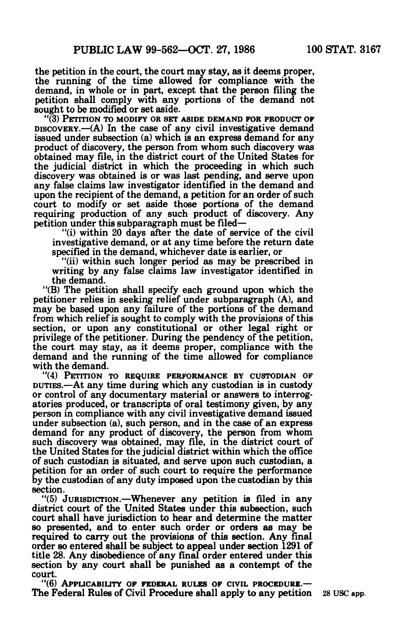the petition in the court, the court may stay, as it deems proper, the running of the time allowed for compliance with the demand, in whole or in part, except that the person filing the petition shall comply with any portions of the demand not sought to be modified or set aside.

 $S(3)$  Petition to modify or set aside demand for product of DISCOVERY.— $(A)$  In the case of any civil investigative demand issued under subsection (a) which is an express demand for any product of discovery, the person from whom such discovery was obtained may file, in the district court of the United States for the judicial district in which the proceeding in which such discovery was obtained is or was last pending, and serve upon any false claims law investigator identified in the demand and upon the recipient of the demand, a petition for an order of such court to modify or set aside those portions of the demand requiring production of any such product of discovery. Any petition under this subparagraph must be filed—

"(i) within 20 days after the date of service of the civil investigative demand, or at any time before the return date specified in the demand, whichever date is earlier, or

"(ii) within such longer period as may be prescribed in writing by any false claims law investigator identified in

" $(B)$  The petition shall specify each ground upon which the petitioner relies in seeking relief under subparagraph (A), and may be based upon any failure of the portions of the demand from which relief is sought to comply with the provisions of this section, or upon any constitutional or other legal right or privilege of the petitioner. During the pendency of the petition, the court may stay, as it deems proper, compliance with the demand and the running of the time allowed for compliance with the demand.<br>"(4) PETITION TO REQUIRE PERFORMANCE BY CUSTODIAN OF

DUTIES.—At any time during which any custodian is in custody atories produced, or transcripts of oral testimony given, by any person in compliance with any civil investigative demand issued under subsection (a), such person, and in the case of an express demand for any product of discovery, the person from whom such discovery was obtained, may file, in the district court of the United States for the judicial district within which the office of such custodian is situated, and serve upon such custodian, a petition for an order of such court to require the performance by the custodian of any duty imposed upon the custodian by this section.

"(5) JURISDICTION.—Whenever any petition is filed in any district court of the United States under this subsection, such court shall have jurisdiction to hear and determine the matter so presented, and to enter such order or orders as may be required to carry out the provisions of this section. Any final order so entered shall be subject to appeal under section 1291 of title 28. Any disobedience of any final order entered under this section by any court shall be punished as a contempt of the

 $(6)$  Applicability of Federal rules of Civil procedure.— The Federal Rules of Civil Procedure shall apply to any petition 28 USC app.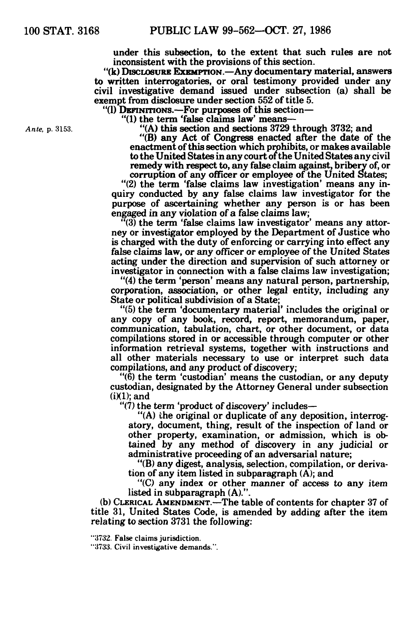under this subsection, to the extent that such rules are not inconsistent with the provisions of this section.

"(k) DISCLOSURE EXEMPTION. - Any documentary material, answers to written interrogatories, or oral testimony provided under any civil investigative demand issued under subsection (a) shall be exempt from disclosure under section 552 of title 5. "(1) DEFINITIONS.—For purposes of this section—

"(1) the term 'false claims law' means— *Ante,* p. 3153. "(A) this section and sections 3729 through 3732; and

"(B) any Act of Congress enacted after the date of the enactment of this section which prohibits, or makes available to the United States in any court of the United States any civil remedy with respect to, any false claim against, bribery of, or corruption of any officer or employee of the United States;

"(2) the term 'false claims law investigation' means any in quiry conducted by any false claims law investigator for the purpose of ascertaining whether any person is or has been engaged in any violation of a false claims law;<br>(3) the term 'false claims law investigator' means any attor-

ney or investigator employed by the Department of Justice who is charged with the duty of enforcing or carrying into effect any false claims law, or any officer or employee of the United States acting under the direction and supervision of such attorney or investigator in connection with a false claims law investigation;

"(4) the term 'person' means any natural person, partnership, corporation, association, or other legal entity, including any State or political subdivision of a State;

"(5) the term 'documentary material' includes the original or any copy of any book, record, report, memorandum, paper, communication, tabulation, chart, or other document, or data compilations stored in or accessible through computer or other information retrieval systems, together with instructions and all other materials necessary to use or interpret such data compilations, and any product of discovery;

"(6) the term 'custodian' means the custodian, or any deputy custodian, designated by the Attorney General under subsection  $(i)(1)$ ; and<br>"(7) the term 'product of discovery' includes—

"(A) the original or duplicate of any deposition, interrogatory, document, thing, result of the inspection of land or other property, examination, or admission, which is ob tained by any method of discovery in any judicial or administrative proceeding of an adversarial nature;

"(B) any digest, analysis, selection, compilation, or derivation of any item listed in subparagraph  $(A)$ ; and

"(C) any index or other manner of access to any item listed in subparagraph  $(A)$ .".

(b) CLERICAL AMENDMENT. - The table of contents for chapter 37 of title 31, United States Code, is amended by adding after the item relating to section 3731 the following:

"3732. False claims jurisdiction. "3733. Civil investigative demands.".